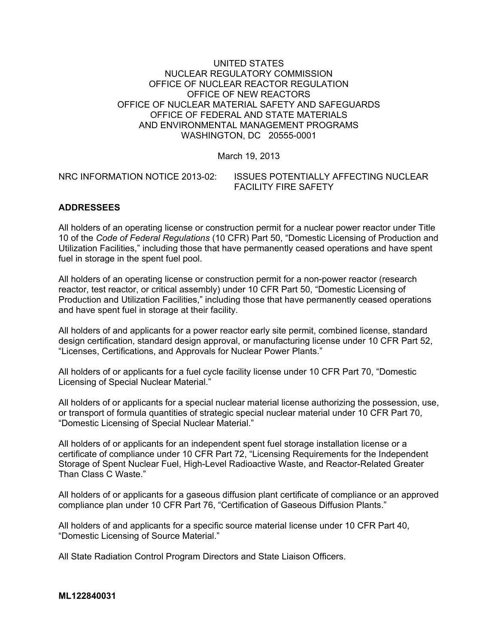## UNITED STATES NUCLEAR REGULATORY COMMISSION OFFICE OF NUCLEAR REACTOR REGULATION OFFICE OF NEW REACTORS OFFICE OF NUCLEAR MATERIAL SAFETY AND SAFEGUARDS OFFICE OF FEDERAL AND STATE MATERIALS AND ENVIRONMENTAL MANAGEMENT PROGRAMS WASHINGTON, DC 20555-0001

March 19, 2013

## NRC INFORMATION NOTICE 2013-02: ISSUES POTENTIALLY AFFECTING NUCLEAR FACILITY FIRE SAFETY

# **ADDRESSEES**

All holders of an operating license or construction permit for a nuclear power reactor under Title 10 of the *Code of Federal Regulations* (10 CFR) Part 50, "Domestic Licensing of Production and Utilization Facilities," including those that have permanently ceased operations and have spent fuel in storage in the spent fuel pool.

All holders of an operating license or construction permit for a non-power reactor (research reactor, test reactor, or critical assembly) under 10 CFR Part 50, "Domestic Licensing of Production and Utilization Facilities," including those that have permanently ceased operations and have spent fuel in storage at their facility.

All holders of and applicants for a power reactor early site permit, combined license, standard design certification, standard design approval, or manufacturing license under 10 CFR Part 52, "Licenses, Certifications, and Approvals for Nuclear Power Plants."

All holders of or applicants for a fuel cycle facility license under 10 CFR Part 70, "Domestic Licensing of Special Nuclear Material."

All holders of or applicants for a special nuclear material license authorizing the possession, use, or transport of formula quantities of strategic special nuclear material under 10 CFR Part 70, "Domestic Licensing of Special Nuclear Material."

All holders of or applicants for an independent spent fuel storage installation license or a certificate of compliance under 10 CFR Part 72, "Licensing Requirements for the Independent Storage of Spent Nuclear Fuel, High-Level Radioactive Waste, and Reactor-Related Greater Than Class C Waste."

All holders of or applicants for a gaseous diffusion plant certificate of compliance or an approved compliance plan under 10 CFR Part 76, "Certification of Gaseous Diffusion Plants."

All holders of and applicants for a specific source material license under 10 CFR Part 40, "Domestic Licensing of Source Material."

All State Radiation Control Program Directors and State Liaison Officers.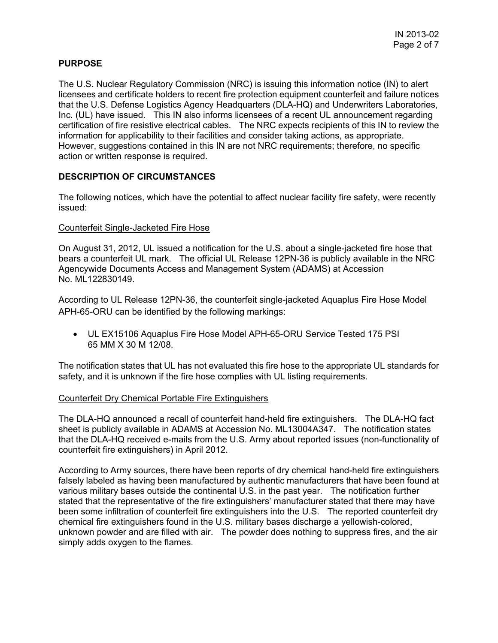## **PURPOSE**

The U.S. Nuclear Regulatory Commission (NRC) is issuing this information notice (IN) to alert licensees and certificate holders to recent fire protection equipment counterfeit and failure notices that the U.S. Defense Logistics Agency Headquarters (DLA-HQ) and Underwriters Laboratories, Inc. (UL) have issued. This IN also informs licensees of a recent UL announcement regarding certification of fire resistive electrical cables. The NRC expects recipients of this IN to review the information for applicability to their facilities and consider taking actions, as appropriate. However, suggestions contained in this IN are not NRC requirements; therefore, no specific action or written response is required.

## **DESCRIPTION OF CIRCUMSTANCES**

The following notices, which have the potential to affect nuclear facility fire safety, were recently issued:

#### Counterfeit Single-Jacketed Fire Hose

On August 31, 2012, UL issued a notification for the U.S. about a single-jacketed fire hose that bears a counterfeit UL mark. The official UL Release 12PN-36 is publicly available in the NRC Agencywide Documents Access and Management System (ADAMS) at Accession No. ML122830149.

According to UL Release 12PN-36, the counterfeit single-jacketed Aquaplus Fire Hose Model APH-65-ORU can be identified by the following markings:

• UL EX15106 Aquaplus Fire Hose Model APH-65-ORU Service Tested 175 PSI 65 MM X 30 M 12/08.

The notification states that UL has not evaluated this fire hose to the appropriate UL standards for safety, and it is unknown if the fire hose complies with UL listing requirements.

#### Counterfeit Dry Chemical Portable Fire Extinguishers

The DLA-HQ announced a recall of counterfeit hand-held fire extinguishers. The DLA-HQ fact sheet is publicly available in ADAMS at Accession No. ML13004A347. The notification states that the DLA-HQ received e-mails from the U.S. Army about reported issues (non-functionality of counterfeit fire extinguishers) in April 2012.

According to Army sources, there have been reports of dry chemical hand-held fire extinguishers falsely labeled as having been manufactured by authentic manufacturers that have been found at various military bases outside the continental U.S. in the past year. The notification further stated that the representative of the fire extinguishers' manufacturer stated that there may have been some infiltration of counterfeit fire extinguishers into the U.S. The reported counterfeit dry chemical fire extinguishers found in the U.S. military bases discharge a yellowish-colored, unknown powder and are filled with air. The powder does nothing to suppress fires, and the air simply adds oxygen to the flames.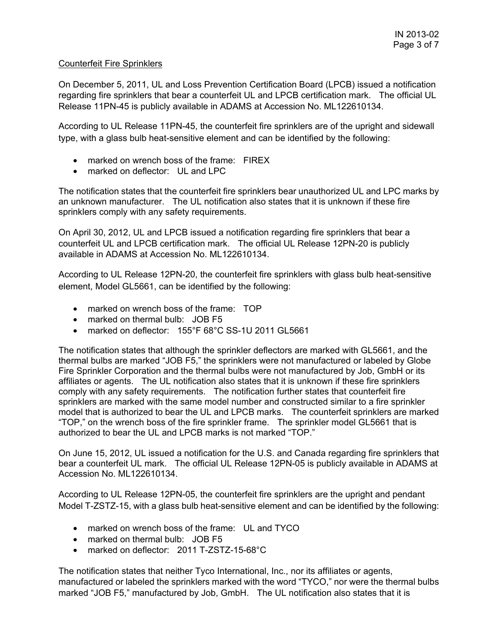## Counterfeit Fire Sprinklers

On December 5, 2011, UL and Loss Prevention Certification Board (LPCB) issued a notification regarding fire sprinklers that bear a counterfeit UL and LPCB certification mark. The official UL Release 11PN-45 is publicly available in ADAMS at Accession No. ML122610134.

According to UL Release 11PN-45, the counterfeit fire sprinklers are of the upright and sidewall type, with a glass bulb heat-sensitive element and can be identified by the following:

- marked on wrench boss of the frame: FIREX
- marked on deflector: UL and LPC

The notification states that the counterfeit fire sprinklers bear unauthorized UL and LPC marks by an unknown manufacturer. The UL notification also states that it is unknown if these fire sprinklers comply with any safety requirements.

On April 30, 2012, UL and LPCB issued a notification regarding fire sprinklers that bear a counterfeit UL and LPCB certification mark. The official UL Release 12PN-20 is publicly available in ADAMS at Accession No. ML122610134.

According to UL Release 12PN-20, the counterfeit fire sprinklers with glass bulb heat-sensitive element, Model GL5661, can be identified by the following:

- marked on wrench boss of the frame: TOP
- marked on thermal bulb: JOB F5
- marked on deflector: 155°F 68°C SS-1U 2011 GL5661

The notification states that although the sprinkler deflectors are marked with GL5661, and the thermal bulbs are marked "JOB F5," the sprinklers were not manufactured or labeled by Globe Fire Sprinkler Corporation and the thermal bulbs were not manufactured by Job, GmbH or its affiliates or agents. The UL notification also states that it is unknown if these fire sprinklers comply with any safety requirements. The notification further states that counterfeit fire sprinklers are marked with the same model number and constructed similar to a fire sprinkler model that is authorized to bear the UL and LPCB marks. The counterfeit sprinklers are marked "TOP," on the wrench boss of the fire sprinkler frame. The sprinkler model GL5661 that is authorized to bear the UL and LPCB marks is not marked "TOP."

On June 15, 2012, UL issued a notification for the U.S. and Canada regarding fire sprinklers that bear a counterfeit UL mark. The official UL Release 12PN-05 is publicly available in ADAMS at Accession No. ML122610134.

According to UL Release 12PN-05, the counterfeit fire sprinklers are the upright and pendant Model T-ZSTZ-15, with a glass bulb heat-sensitive element and can be identified by the following:

- marked on wrench boss of the frame: UL and TYCO
- marked on thermal bulb: JOB F5
- marked on deflector: 2011 T-ZSTZ-15-68°C

The notification states that neither Tyco International, Inc., nor its affiliates or agents, manufactured or labeled the sprinklers marked with the word "TYCO," nor were the thermal bulbs marked "JOB F5," manufactured by Job, GmbH. The UL notification also states that it is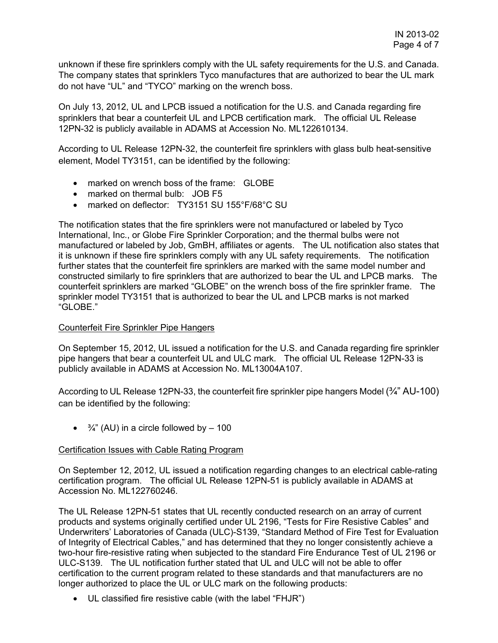unknown if these fire sprinklers comply with the UL safety requirements for the U.S. and Canada. The company states that sprinklers Tyco manufactures that are authorized to bear the UL mark do not have "UL" and "TYCO" marking on the wrench boss.

On July 13, 2012, UL and LPCB issued a notification for the U.S. and Canada regarding fire sprinklers that bear a counterfeit UL and LPCB certification mark. The official UL Release 12PN-32 is publicly available in ADAMS at Accession No. ML122610134.

According to UL Release 12PN-32, the counterfeit fire sprinklers with glass bulb heat-sensitive element, Model TY3151, can be identified by the following:

- marked on wrench boss of the frame: GLOBE
- marked on thermal bulb: JOB F5
- marked on deflector: TY3151 SU 155°F/68°C SU

The notification states that the fire sprinklers were not manufactured or labeled by Tyco International, Inc., or Globe Fire Sprinkler Corporation; and the thermal bulbs were not manufactured or labeled by Job, GmBH, affiliates or agents. The UL notification also states that it is unknown if these fire sprinklers comply with any UL safety requirements. The notification further states that the counterfeit fire sprinklers are marked with the same model number and constructed similarly to fire sprinklers that are authorized to bear the UL and LPCB marks. The counterfeit sprinklers are marked "GLOBE" on the wrench boss of the fire sprinkler frame. The sprinkler model TY3151 that is authorized to bear the UL and LPCB marks is not marked "GLOBE."

## Counterfeit Fire Sprinkler Pipe Hangers

On September 15, 2012, UL issued a notification for the U.S. and Canada regarding fire sprinkler pipe hangers that bear a counterfeit UL and ULC mark. The official UL Release 12PN-33 is publicly available in ADAMS at Accession No. ML13004A107.

According to UL Release 12PN-33, the counterfeit fire sprinkler pipe hangers Model  $\frac{3}{4}$  AU-100) can be identified by the following:

•  $\frac{3}{4}$ " (AU) in a circle followed by – 100

#### Certification Issues with Cable Rating Program

On September 12, 2012, UL issued a notification regarding changes to an electrical cable-rating certification program. The official UL Release 12PN-51 is publicly available in ADAMS at Accession No. ML122760246.

The UL Release 12PN-51 states that UL recently conducted research on an array of current products and systems originally certified under UL 2196, "Tests for Fire Resistive Cables" and Underwriters' Laboratories of Canada (ULC)-S139, "Standard Method of Fire Test for Evaluation of Integrity of Electrical Cables," and has determined that they no longer consistently achieve a two-hour fire-resistive rating when subjected to the standard Fire Endurance Test of UL 2196 or ULC-S139. The UL notification further stated that UL and ULC will not be able to offer certification to the current program related to these standards and that manufacturers are no longer authorized to place the UL or ULC mark on the following products:

• UL classified fire resistive cable (with the label "FHJR")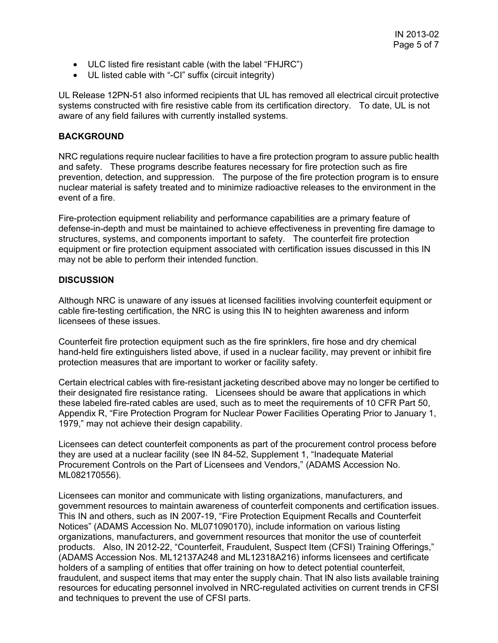- ULC listed fire resistant cable (with the label "FHJRC")
- UL listed cable with "-CI" suffix (circuit integrity)

UL Release 12PN-51 also informed recipients that UL has removed all electrical circuit protective systems constructed with fire resistive cable from its certification directory. To date, UL is not aware of any field failures with currently installed systems.

### **BACKGROUND**

NRC regulations require nuclear facilities to have a fire protection program to assure public health and safety. These programs describe features necessary for fire protection such as fire prevention, detection, and suppression. The purpose of the fire protection program is to ensure nuclear material is safety treated and to minimize radioactive releases to the environment in the event of a fire.

Fire-protection equipment reliability and performance capabilities are a primary feature of defense-in-depth and must be maintained to achieve effectiveness in preventing fire damage to structures, systems, and components important to safety. The counterfeit fire protection equipment or fire protection equipment associated with certification issues discussed in this IN may not be able to perform their intended function.

#### **DISCUSSION**

Although NRC is unaware of any issues at licensed facilities involving counterfeit equipment or cable fire-testing certification, the NRC is using this IN to heighten awareness and inform licensees of these issues.

Counterfeit fire protection equipment such as the fire sprinklers, fire hose and dry chemical hand-held fire extinguishers listed above, if used in a nuclear facility, may prevent or inhibit fire protection measures that are important to worker or facility safety.

Certain electrical cables with fire-resistant jacketing described above may no longer be certified to their designated fire resistance rating. Licensees should be aware that applications in which these labeled fire-rated cables are used, such as to meet the requirements of 10 CFR Part 50, Appendix R, "Fire Protection Program for Nuclear Power Facilities Operating Prior to January 1, 1979," may not achieve their design capability.

Licensees can detect counterfeit components as part of the procurement control process before they are used at a nuclear facility (see IN 84-52, Supplement 1, "Inadequate Material Procurement Controls on the Part of Licensees and Vendors," (ADAMS Accession No. ML082170556).

Licensees can monitor and communicate with listing organizations, manufacturers, and government resources to maintain awareness of counterfeit components and certification issues. This IN and others, such as IN 2007-19, "Fire Protection Equipment Recalls and Counterfeit Notices" (ADAMS Accession No. ML071090170), include information on various listing organizations, manufacturers, and government resources that monitor the use of counterfeit products. Also, IN 2012-22, "Counterfeit, Fraudulent, Suspect Item (CFSI) Training Offerings," (ADAMS Accession Nos. ML12137A248 and ML12318A216) informs licensees and certificate holders of a sampling of entities that offer training on how to detect potential counterfeit, fraudulent, and suspect items that may enter the supply chain. That IN also lists available training resources for educating personnel involved in NRC-regulated activities on current trends in CFSI and techniques to prevent the use of CFSI parts.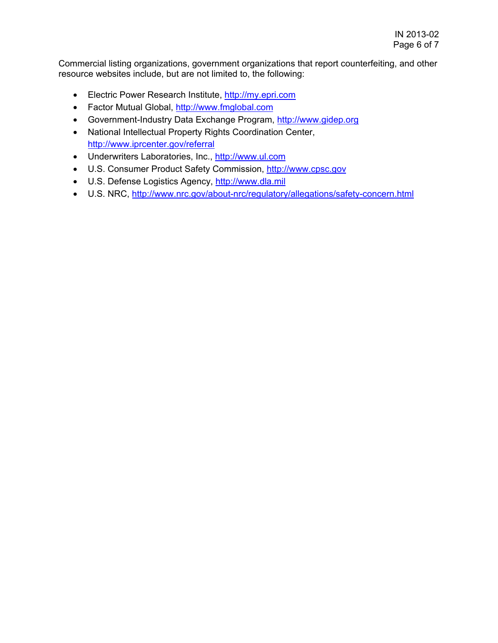Commercial listing organizations, government organizations that report counterfeiting, and other resource websites include, but are not limited to, the following:

- Electric Power Research Institute, http://my.epri.com
- Factor Mutual Global, http://www.fmglobal.com
- Government-Industry Data Exchange Program, http://www.gidep.org
- National Intellectual Property Rights Coordination Center, http://www.iprcenter.gov/referral
- Underwriters Laboratories, Inc., http://www.ul.com
- U.S. Consumer Product Safety Commission, http://www.cpsc.gov
- U.S. Defense Logistics Agency, http://www.dla.mil
- U.S. NRC, http://www.nrc.gov/about-nrc/regulatory/allegations/safety-concern.html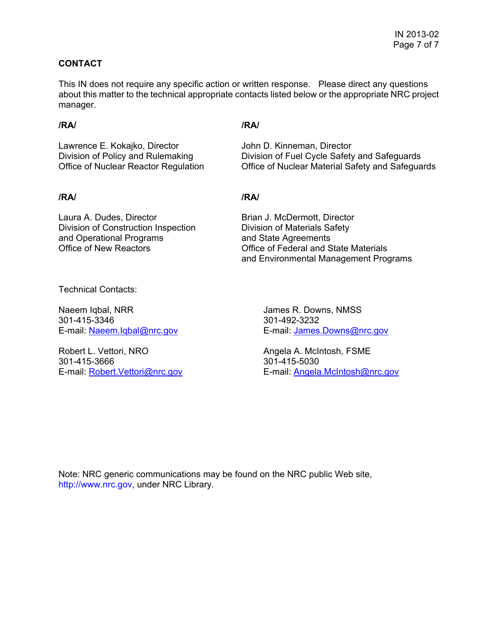## **CONTACT**

This IN does not require any specific action or written response. Please direct any questions about this matter to the technical appropriate contacts listed below or the appropriate NRC project manager.

### **/RA/ /RA/**

Lawrence E. Kokajko, Director **John D. Kinneman, Director** Division of Policy and Rulemaking Division of Fuel Cycle Safety and Safeguards<br>Office of Nuclear Reactor Regulation Office of Nuclear Material Safety and Safegua

## **/RA/ /RA/**

Laura A. Dudes, Director **Brian J. McDermott, Director** Division of Construction Inspection Division of Materials Safety and Operational Programs and State Agreements

Office of Federal and State Materials and Environmental Management Programs

Office of Nuclear Material Safety and Safeguards

Technical Contacts:

Naeem Igbal, NRR James R. Downs, NMSS 301-415-3346 301-492-3232

Robert L. Vettori, NRO Angela A. McIntosh, FSME 301-415-3666 301-415-5030

E-mail: Naeem.lqbal@nrc.gov E-mail: James.Downs@nrc.gov

E-mail: Robert.Vettori@nrc.gov E-mail: Angela.McIntosh@nrc.gov

Note: NRC generic communications may be found on the NRC public Web site, http://www.nrc.gov, under NRC Library.